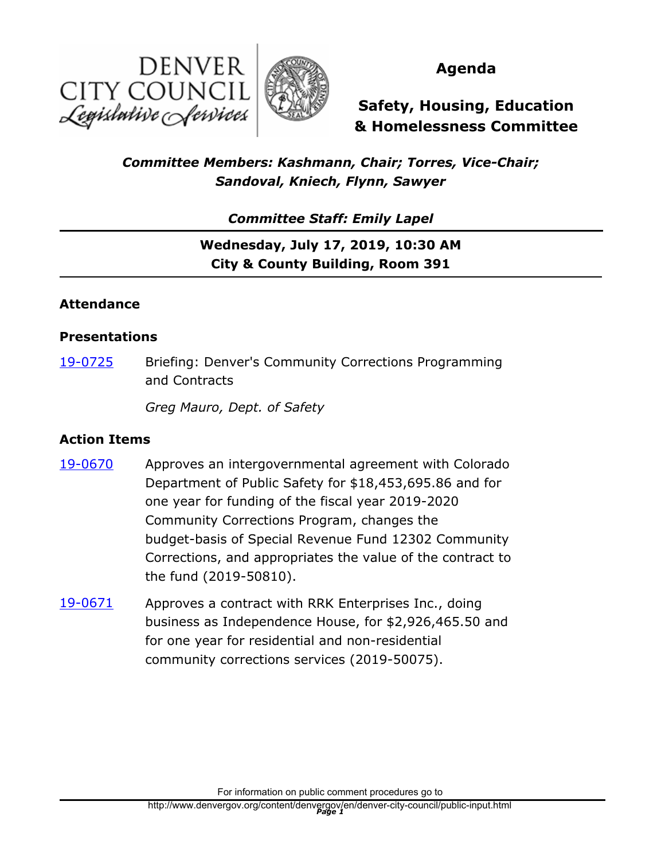



## **Agenda**

**Safety, Housing, Education & Homelessness Committee**

## *Committee Members: Kashmann, Chair; Torres, Vice-Chair; Sandoval, Kniech, Flynn, Sawyer*

*Committee Staff: Emily Lapel*

# **Wednesday, July 17, 2019, 10:30 AM City & County Building, Room 391**

#### **Attendance**

#### **Presentations**

Briefing: Denver's Community Corrections Programming and Contracts [19-0725](http://denver.legistar.com/gateway.aspx?m=l&id=/matter.aspx?key=15266)

*Greg Mauro, Dept. of Safety*

#### **Action Items**

- Approves an intergovernmental agreement with Colorado Department of Public Safety for \$18,453,695.86 and for one year for funding of the fiscal year 2019-2020 Community Corrections Program, changes the budget-basis of Special Revenue Fund 12302 Community Corrections, and appropriates the value of the contract to the fund (2019-50810). [19-0670](http://denver.legistar.com/gateway.aspx?m=l&id=/matter.aspx?key=15211)
- Approves a contract with RRK Enterprises Inc., doing business as Independence House, for \$2,926,465.50 and for one year for residential and non-residential community corrections services (2019-50075). [19-0671](http://denver.legistar.com/gateway.aspx?m=l&id=/matter.aspx?key=15212)

For information on public comment procedures go to